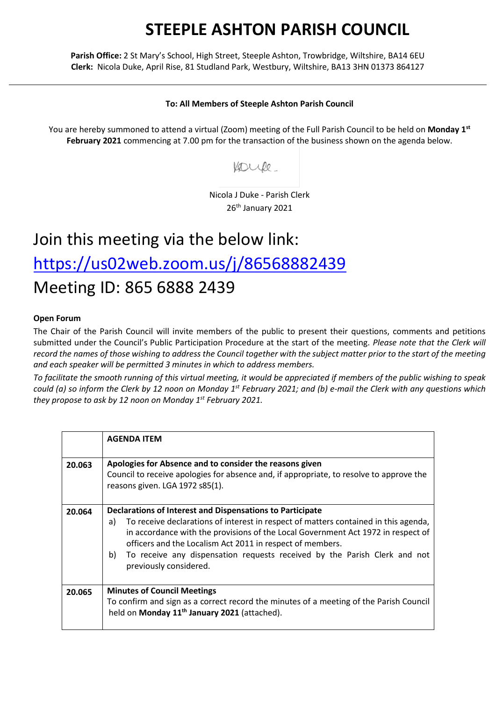## **STEEPLE ASHTON PARISH COUNCIL**

**Parish Office:** 2 St Mary's School, High Street, Steeple Ashton, Trowbridge, Wiltshire, BA14 6EU **Clerk:** Nicola Duke, April Rise, 81 Studland Park, Westbury, Wiltshire, BA13 3HN 01373 864127

## **To: All Members of Steeple Ashton Parish Council**

You are hereby summoned to attend a virtual (Zoom) meeting of the Full Parish Council to be held on **Monday 1 st February 2021** commencing at 7.00 pm for the transaction of the business shown on the agenda below.

Voule

Nicola J Duke - Parish Clerk 26<sup>th</sup> January 2021

## Join this meeting via the below link: <https://us02web.zoom.us/j/86568882439> Meeting ID: 865 6888 2439

## **Open Forum**

The Chair of the Parish Council will invite members of the public to present their questions, comments and petitions submitted under the Council's Public Participation Procedure at the start of the meeting. *Please note that the Clerk will record the names of those wishing to address the Council together with the subject matter prior to the start of the meeting and each speaker will be permitted 3 minutes in which to address members.*

*To facilitate the smooth running of this virtual meeting, it would be appreciated if members of the public wishing to speak could (a) so inform the Clerk by 12 noon on Monday 1 st February 2021; and (b) e-mail the Clerk with any questions which they propose to ask by 12 noon on Monday 1 st February 2021.*

|        | <b>AGENDA ITEM</b>                                                                                                                                                                                                                                                                                                                                                                                                   |
|--------|----------------------------------------------------------------------------------------------------------------------------------------------------------------------------------------------------------------------------------------------------------------------------------------------------------------------------------------------------------------------------------------------------------------------|
| 20.063 | Apologies for Absence and to consider the reasons given<br>Council to receive apologies for absence and, if appropriate, to resolve to approve the<br>reasons given. LGA 1972 s85(1).                                                                                                                                                                                                                                |
| 20.064 | Declarations of Interest and Dispensations to Participate<br>To receive declarations of interest in respect of matters contained in this agenda,<br>a)<br>in accordance with the provisions of the Local Government Act 1972 in respect of<br>officers and the Localism Act 2011 in respect of members.<br>To receive any dispensation requests received by the Parish Clerk and not<br>b)<br>previously considered. |
| 20.065 | <b>Minutes of Council Meetings</b><br>To confirm and sign as a correct record the minutes of a meeting of the Parish Council<br>held on Monday 11 <sup>th</sup> January 2021 (attached).                                                                                                                                                                                                                             |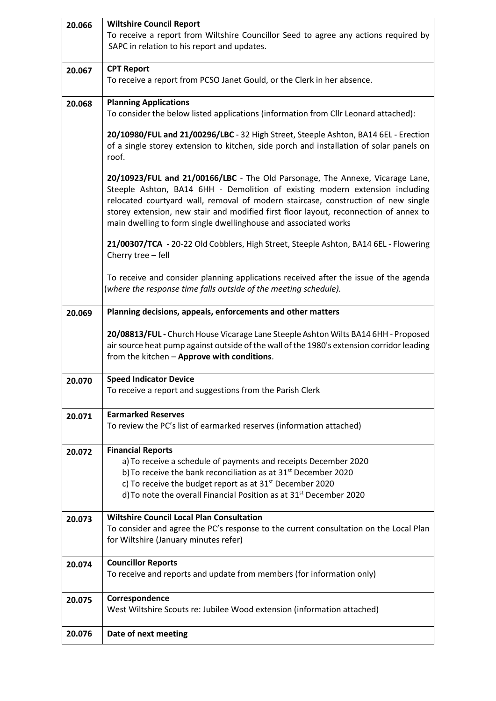| 20.066 | <b>Wiltshire Council Report</b>                                                                                                                                   |
|--------|-------------------------------------------------------------------------------------------------------------------------------------------------------------------|
|        | To receive a report from Wiltshire Councillor Seed to agree any actions required by                                                                               |
|        | SAPC in relation to his report and updates.                                                                                                                       |
|        |                                                                                                                                                                   |
| 20.067 | <b>CPT Report</b>                                                                                                                                                 |
|        | To receive a report from PCSO Janet Gould, or the Clerk in her absence.                                                                                           |
|        | <b>Planning Applications</b>                                                                                                                                      |
| 20.068 | To consider the below listed applications (information from Cllr Leonard attached):                                                                               |
|        |                                                                                                                                                                   |
|        | 20/10980/FUL and 21/00296/LBC - 32 High Street, Steeple Ashton, BA14 6EL - Erection                                                                               |
|        | of a single storey extension to kitchen, side porch and installation of solar panels on                                                                           |
|        | roof.                                                                                                                                                             |
|        |                                                                                                                                                                   |
|        | 20/10923/FUL and 21/00166/LBC - The Old Parsonage, The Annexe, Vicarage Lane,                                                                                     |
|        | Steeple Ashton, BA14 6HH - Demolition of existing modern extension including<br>relocated courtyard wall, removal of modern staircase, construction of new single |
|        | storey extension, new stair and modified first floor layout, reconnection of annex to                                                                             |
|        | main dwelling to form single dwellinghouse and associated works                                                                                                   |
|        |                                                                                                                                                                   |
|        | 21/00307/TCA - 20-22 Old Cobblers, High Street, Steeple Ashton, BA14 6EL - Flowering                                                                              |
|        | Cherry tree - fell                                                                                                                                                |
|        |                                                                                                                                                                   |
|        | To receive and consider planning applications received after the issue of the agenda                                                                              |
|        | (where the response time falls outside of the meeting schedule).                                                                                                  |
| 20.069 | Planning decisions, appeals, enforcements and other matters                                                                                                       |
|        |                                                                                                                                                                   |
|        | 20/08813/FUL - Church House Vicarage Lane Steeple Ashton Wilts BA14 6HH - Proposed                                                                                |
|        | air source heat pump against outside of the wall of the 1980's extension corridor leading                                                                         |
|        | from the kitchen - Approve with conditions.                                                                                                                       |
|        |                                                                                                                                                                   |
| 20.070 | <b>Speed Indicator Device</b><br>To receive a report and suggestions from the Parish Clerk                                                                        |
|        |                                                                                                                                                                   |
| 20.071 | <b>Earmarked Reserves</b>                                                                                                                                         |
|        | To review the PC's list of earmarked reserves (information attached)                                                                                              |
|        |                                                                                                                                                                   |
| 20.072 | <b>Financial Reports</b>                                                                                                                                          |
|        | a) To receive a schedule of payments and receipts December 2020                                                                                                   |
|        | b) To receive the bank reconciliation as at 31 <sup>st</sup> December 2020                                                                                        |
|        | c) To receive the budget report as at $31st$ December 2020                                                                                                        |
|        | d) To note the overall Financial Position as at 31 <sup>st</sup> December 2020                                                                                    |
| 20.073 | <b>Wiltshire Council Local Plan Consultation</b>                                                                                                                  |
|        | To consider and agree the PC's response to the current consultation on the Local Plan                                                                             |
|        | for Wiltshire (January minutes refer)                                                                                                                             |
|        |                                                                                                                                                                   |
| 20.074 | <b>Councillor Reports</b>                                                                                                                                         |
|        | To receive and reports and update from members (for information only)                                                                                             |
|        |                                                                                                                                                                   |
| 20.075 | Correspondence                                                                                                                                                    |
|        | West Wiltshire Scouts re: Jubilee Wood extension (information attached)                                                                                           |
|        |                                                                                                                                                                   |
| 20.076 | Date of next meeting                                                                                                                                              |